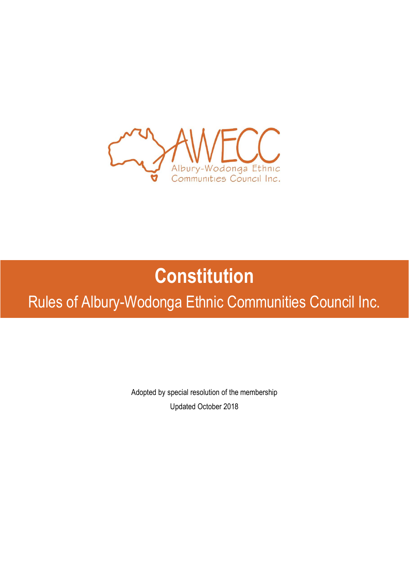

# **Constitution**

Rules of Albury-Wodonga Ethnic Communities Council Inc.

Adopted by special resolution of the membership Updated October 2018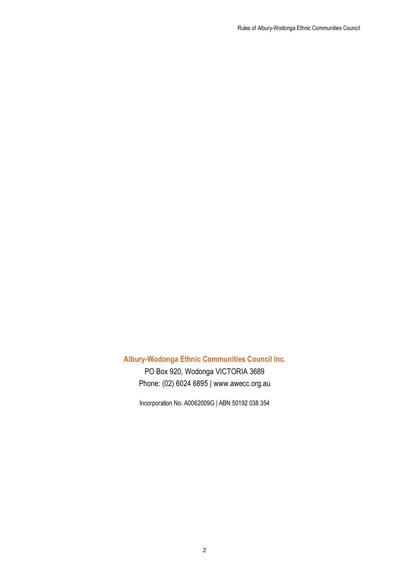Rules of Albury-Wodonga Ethnic Communities Council

# **Albury-Wodonga Ethnic Communities Council Inc.**

PO Box 920, Wodonga VICTORIA 3689 Phone: (02) 6024 6895 | www.awecc.org.au

Incorporation No. A0062009G | ABN 50192 038 354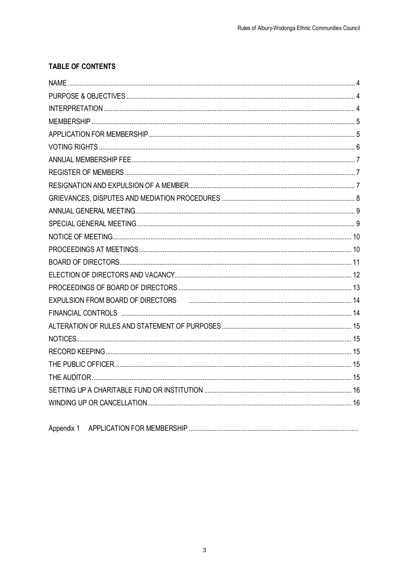### **TABLE OF CONTENTS**

| EXPULSION FROM BOARD OF DIRECTORS FINDER AND CONTINUES ARE A 14 |  |
|-----------------------------------------------------------------|--|
|                                                                 |  |
|                                                                 |  |
|                                                                 |  |
|                                                                 |  |
|                                                                 |  |
|                                                                 |  |
|                                                                 |  |
|                                                                 |  |
|                                                                 |  |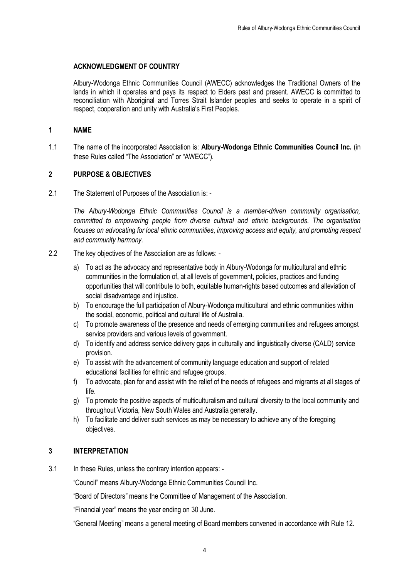#### **ACKNOWLEDGMENT OF COUNTRY**

Albury-Wodonga Ethnic Communities Council (AWECC) acknowledges the Traditional Owners of the lands in which it operates and pays its respect to Elders past and present. AWECC is committed to reconciliation with Aboriginal and Torres Strait Islander peoples and seeks to operate in a spirit of respect, cooperation and unity with Australia's First Peoples.

#### **1 NAME**

1.1 The name of the incorporated Association is: **Albury-Wodonga Ethnic Communities Council Inc.** (in these Rules called "The Association" or "AWECC").

#### **2 PURPOSE & OBJECTIVES**

2.1 The Statement of Purposes of the Association is: -

*The Albury-Wodonga Ethnic Communities Council is a member-driven community organisation, committed to empowering people from diverse cultural and ethnic backgrounds. The organisation focuses on advocating for local ethnic communities, improving access and equity, and promoting respect and community harmony.*

- 2.2 The key objectives of the Association are as follows:
	- a) To act as the advocacy and representative body in Albury-Wodonga for multicultural and ethnic communities in the formulation of, at all levels of government, policies, practices and funding opportunities that will contribute to both, equitable human-rights based outcomes and alleviation of social disadvantage and injustice.
	- b) To encourage the full participation of Albury-Wodonga multicultural and ethnic communities within the social, economic, political and cultural life of Australia.
	- c) To promote awareness of the presence and needs of emerging communities and refugees amongst service providers and various levels of government.
	- d) To identify and address service delivery gaps in culturally and linguistically diverse (CALD) service provision.
	- e) To assist with the advancement of community language education and support of related educational facilities for ethnic and refugee groups.
	- f) To advocate, plan for and assist with the relief of the needs of refugees and migrants at all stages of life.
	- g) To promote the positive aspects of multiculturalism and cultural diversity to the local community and throughout Victoria, New South Wales and Australia generally.
	- h) To facilitate and deliver such services as may be necessary to achieve any of the foregoing objectives.

#### **3 INTERPRETATION**

3.1 In these Rules, unless the contrary intention appears: -

"Council" means Albury-Wodonga Ethnic Communities Council Inc.

"Board of Directors" means the Committee of Management of the Association.

"Financial year" means the year ending on 30 June.

"General Meeting" means a general meeting of Board members convened in accordance with Rule 12.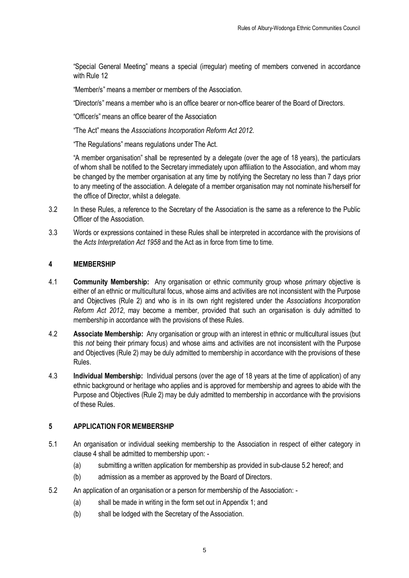"Special General Meeting" means a special (irregular) meeting of members convened in accordance with Rule 12

"Member/s" means a member or members of the Association.

"Director/s" means a member who is an office bearer or non-office bearer of the Board of Directors.

"Officer/s" means an office bearer of the Association

"The Act" means the *Associations Incorporation Reform Act 2012.*

"The Regulations" means regulations under The Act.

"A member organisation" shall be represented by a delegate (over the age of 18 years), the particulars of whom shall be notified to the Secretary immediately upon affiliation to the Association, and whom may be changed by the member organisation at any time by notifying the Secretary no less than 7 days prior to any meeting of the association. A delegate of a member organisation may not nominate his/herself for the office of Director, whilst a delegate.

- 3.2 In these Rules, a reference to the Secretary of the Association is the same as a reference to the Public Officer of the Association.
- 3.3 Words or expressions contained in these Rules shall be interpreted in accordance with the provisions of the *Acts Interpretation Act 1958* and the Act as in force from time to time.

#### **4 MEMBERSHIP**

- 4.1 **Community Membership:** Any organisation or ethnic community group whose *primary* objective is either of an ethnic or multicultural focus, whose aims and activities are not inconsistent with the Purpose and Objectives (Rule 2) and who is in its own right registered under the *Associations Incorporation Reform Act 2012*, may become a member, provided that such an organisation is duly admitted to membership in accordance with the provisions of these Rules.
- 4.2 **Associate Membership:** Any organisation or group with an interest in ethnic or multicultural issues (but this *not* being their primary focus) and whose aims and activities are not inconsistent with the Purpose and Objectives (Rule 2) may be duly admitted to membership in accordance with the provisions of these Rules.
- 4.3 **Individual Membership:** Individual persons (over the age of 18 years at the time of application) of any ethnic background or heritage who applies and is approved for membership and agrees to abide with the Purpose and Objectives (Rule 2) may be duly admitted to membership in accordance with the provisions of these Rules.

#### **5 APPLICATION FOR MEMBERSHIP**

- 5.1 An organisation or individual seeking membership to the Association in respect of either category in clause 4 shall be admitted to membership upon: -
	- (a) submitting a written application for membership as provided in sub-clause 5.2 hereof; and
	- (b) admission as a member as approved by the Board of Directors.
- 5.2 An application of an organisation or a person for membership of the Association:
	- (a) shall be made in writing in the form set out in Appendix 1; and
	- (b) shall be lodged with the Secretary of the Association.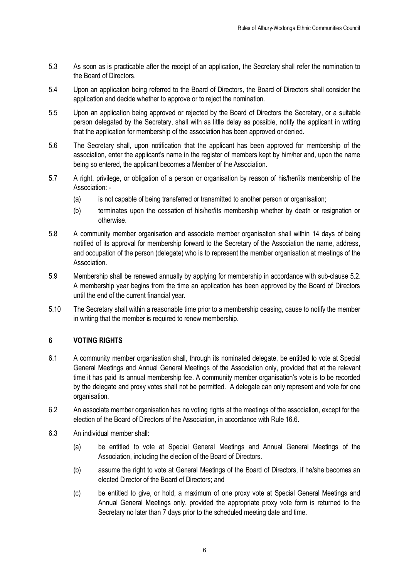- 5.3 As soon as is practicable after the receipt of an application, the Secretary shall refer the nomination to the Board of Directors.
- 5.4 Upon an application being referred to the Board of Directors, the Board of Directors shall consider the application and decide whether to approve or to reject the nomination.
- 5.5 Upon an application being approved or rejected by the Board of Directors the Secretary, or a suitable person delegated by the Secretary, shall with as little delay as possible, notify the applicant in writing that the application for membership of the association has been approved or denied.
- 5.6 The Secretary shall, upon notification that the applicant has been approved for membership of the association, enter the applicant's name in the register of members kept by him/her and, upon the name being so entered, the applicant becomes a Member of the Association.
- 5.7 A right, privilege, or obligation of a person or organisation by reason of his/her/its membership of the Association: -
	- (a) is not capable of being transferred or transmitted to another person or organisation;
	- (b) terminates upon the cessation of his/her/its membership whether by death or resignation or otherwise.
- 5.8 A community member organisation and associate member organisation shall within 14 days of being notified of its approval for membership forward to the Secretary of the Association the name, address, and occupation of the person (delegate) who is to represent the member organisation at meetings of the **Association**
- 5.9 Membership shall be renewed annually by applying for membership in accordance with sub-clause 5.2. A membership year begins from the time an application has been approved by the Board of Directors until the end of the current financial year.
- 5.10 The Secretary shall within a reasonable time prior to a membership ceasing, cause to notify the member in writing that the member is required to renew membership.

#### **6 VOTING RIGHTS**

- 6.1 A community member organisation shall, through its nominated delegate, be entitled to vote at Special General Meetings and Annual General Meetings of the Association only, provided that at the relevant time it has paid its annual membership fee. A community member organisation's vote is to be recorded by the delegate and proxy votes shall not be permitted. A delegate can only represent and vote for one organisation.
- 6.2 An associate member organisation has no voting rights at the meetings of the association, except for the election of the Board of Directors of the Association, in accordance with Rule 16.6.
- 6.3 An individual member shall:
	- (a) be entitled to vote at Special General Meetings and Annual General Meetings of the Association, including the election of the Board of Directors.
	- (b) assume the right to vote at General Meetings of the Board of Directors, if he/she becomes an elected Director of the Board of Directors; and
	- (c) be entitled to give, or hold, a maximum of one proxy vote at Special General Meetings and Annual General Meetings only, provided the appropriate proxy vote form is returned to the Secretary no later than 7 days prior to the scheduled meeting date and time.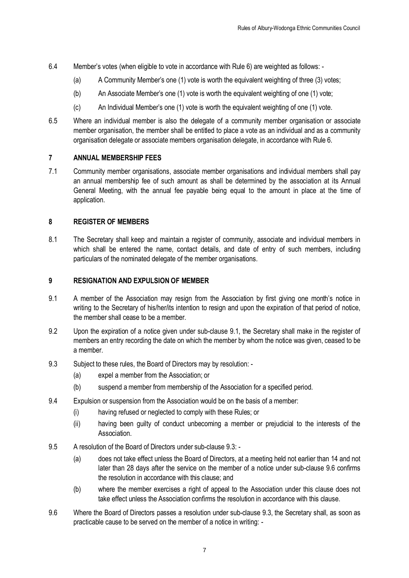- 6.4 Member's votes (when eligible to vote in accordance with Rule 6) are weighted as follows:
	- (a) A Community Member's one (1) vote is worth the equivalent weighting of three (3) votes;
	- (b) An Associate Member's one (1) vote is worth the equivalent weighting of one (1) vote;
	- (c) An Individual Member's one (1) vote is worth the equivalent weighting of one (1) vote.
- 6.5 Where an individual member is also the delegate of a community member organisation or associate member organisation, the member shall be entitled to place a vote as an individual and as a community organisation delegate or associate members organisation delegate, in accordance with Rule 6.

#### **7 ANNUAL MEMBERSHIP FEES**

7.1 Community member organisations, associate member organisations and individual members shall pay an annual membership fee of such amount as shall be determined by the association at its Annual General Meeting, with the annual fee payable being equal to the amount in place at the time of application.

#### **8 REGISTER OF MEMBERS**

8.1 The Secretary shall keep and maintain a register of community, associate and individual members in which shall be entered the name, contact details, and date of entry of such members, including particulars of the nominated delegate of the member organisations.

#### **9 RESIGNATION AND EXPULSION OF MEMBER**

- 9.1 A member of the Association may resign from the Association by first giving one month's notice in writing to the Secretary of his/her/its intention to resign and upon the expiration of that period of notice, the member shall cease to be a member.
- 9.2 Upon the expiration of a notice given under sub-clause 9.1, the Secretary shall make in the register of members an entry recording the date on which the member by whom the notice was given, ceased to be a member.
- 9.3 Subject to these rules, the Board of Directors may by resolution:
	- (a) expel a member from the Association; or
	- (b) suspend a member from membership of the Association for a specified period.
- 9.4 Expulsion or suspension from the Association would be on the basis of a member:
	- (i) having refused or neglected to comply with these Rules; or
	- (ii) having been guilty of conduct unbecoming a member or prejudicial to the interests of the **Association**
- 9.5 A resolution of the Board of Directors under sub-clause 9.3:
	- (a) does not take effect unless the Board of Directors, at a meeting held not earlier than 14 and not later than 28 days after the service on the member of a notice under sub-clause 9.6 confirms the resolution in accordance with this clause; and
	- (b) where the member exercises a right of appeal to the Association under this clause does not take effect unless the Association confirms the resolution in accordance with this clause.
- 9.6 Where the Board of Directors passes a resolution under sub-clause 9.3, the Secretary shall, as soon as practicable cause to be served on the member of a notice in writing: -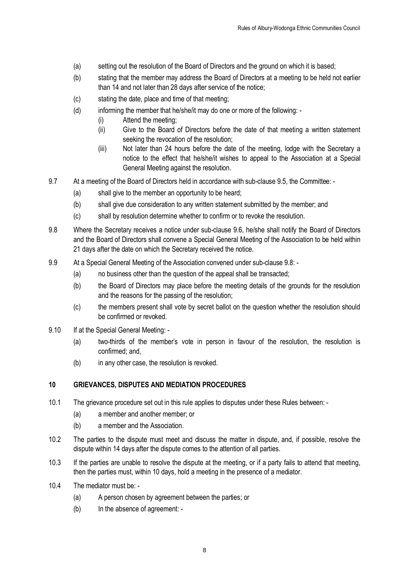- (a) setting out the resolution of the Board of Directors and the ground on which it is based;
- (b) stating that the member may address the Board of Directors at a meeting to be held not earlier than 14 and not later than 28 days after service of the notice;
- (c) stating the date, place and time of that meeting;
- (d) informing the member that he/she/it may do one or more of the following:
	- (i) Attend the meeting;
	- (ii) Give to the Board of Directors before the date of that meeting a written statement seeking the revocation of the resolution;
	- (iii) Not later than 24 hours before the date of the meeting, lodge with the Secretary a notice to the effect that he/she/it wishes to appeal to the Association at a Special General Meeting against the resolution.
- 9.7 At a meeting of the Board of Directors held in accordance with sub-clause 9.5, the Committee:
	- (a) shall give to the member an opportunity to be heard;
	- (b) shall give due consideration to any written statement submitted by the member; and
	- (c) shall by resolution determine whether to confirm or to revoke the resolution.
- 9.8 Where the Secretary receives a notice under sub-clause 9.6, he/she shall notify the Board of Directors and the Board of Directors shall convene a Special General Meeting of the Association to be held within 21 days after the date on which the Secretary received the notice.
- 9.9 At a Special General Meeting of the Association convened under sub-clause 9.8:
	- (a) no business other than the question of the appeal shall be transacted;
	- (b) the Board of Directors may place before the meeting details of the grounds for the resolution and the reasons for the passing of the resolution;
	- (c) the members present shall vote by secret ballot on the question whether the resolution should be confirmed or revoked.
- 9.10 If at the Special General Meeting: -
	- (a) two-thirds of the member's vote in person in favour of the resolution, the resolution is confirmed; and,
	- (b) in any other case, the resolution is revoked.

#### **10 GRIEVANCES, DISPUTES AND MEDIATION PROCEDURES**

- 10.1 The grievance procedure set out in this rule applies to disputes under these Rules between:
	- (a) a member and another member; or
	- (b) a member and the Association.
- 10.2 The parties to the dispute must meet and discuss the matter in dispute, and, if possible, resolve the dispute within 14 days after the dispute comes to the attention of all parties.
- 10.3 If the parties are unable to resolve the dispute at the meeting, or if a party fails to attend that meeting, then the parties must, within 10 days, hold a meeting in the presence of a mediator.
- 10.4 The mediator must be:
	- (a) A person chosen by agreement between the parties; or
	- (b) In the absence of agreement: -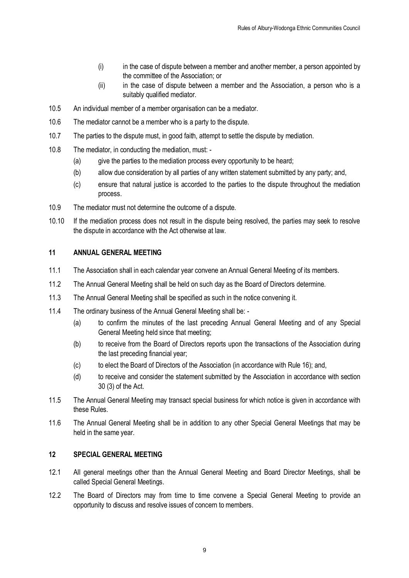- (i) in the case of dispute between a member and another member, a person appointed by the committee of the Association; or
- (ii) in the case of dispute between a member and the Association, a person who is a suitably qualified mediator.
- 10.5 An individual member of a member organisation can be a mediator.
- 10.6 The mediator cannot be a member who is a party to the dispute.
- 10.7 The parties to the dispute must, in good faith, attempt to settle the dispute by mediation.
- 10.8 The mediator, in conducting the mediation, must:
	- (a) give the parties to the mediation process every opportunity to be heard;
	- (b) allow due consideration by all parties of any written statement submitted by any party; and,
	- (c) ensure that natural justice is accorded to the parties to the dispute throughout the mediation process.
- 10.9 The mediator must not determine the outcome of a dispute.
- 10.10 If the mediation process does not result in the dispute being resolved, the parties may seek to resolve the dispute in accordance with the Act otherwise at law.

#### **11 ANNUAL GENERAL MEETING**

- 11.1 The Association shall in each calendar year convene an Annual General Meeting of its members.
- 11.2 The Annual General Meeting shall be held on such day as the Board of Directors determine.
- 11.3 The Annual General Meeting shall be specified as such in the notice convening it.
- 11.4 The ordinary business of the Annual General Meeting shall be:
	- (a) to confirm the minutes of the last preceding Annual General Meeting and of any Special General Meeting held since that meeting;
	- (b) to receive from the Board of Directors reports upon the transactions of the Association during the last preceding financial year;
	- (c) to elect the Board of Directors of the Association (in accordance with Rule 16); and,
	- (d) to receive and consider the statement submitted by the Association in accordance with section 30 (3) of the Act.
- 11.5 The Annual General Meeting may transact special business for which notice is given in accordance with these Rules.
- 11.6 The Annual General Meeting shall be in addition to any other Special General Meetings that may be held in the same year.

#### **12 SPECIAL GENERAL MEETING**

- 12.1 All general meetings other than the Annual General Meeting and Board Director Meetings, shall be called Special General Meetings.
- 12.2 The Board of Directors may from time to time convene a Special General Meeting to provide an opportunity to discuss and resolve issues of concern to members.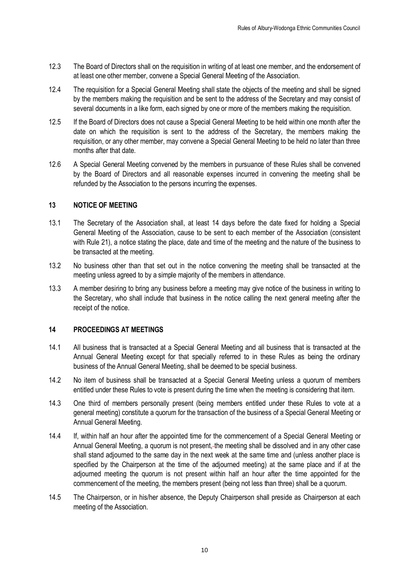- 12.3 The Board of Directors shall on the requisition in writing of at least one member, and the endorsement of at least one other member, convene a Special General Meeting of the Association.
- 12.4 The requisition for a Special General Meeting shall state the objects of the meeting and shall be signed by the members making the requisition and be sent to the address of the Secretary and may consist of several documents in a like form, each signed by one or more of the members making the requisition.
- 12.5 If the Board of Directors does not cause a Special General Meeting to be held within one month after the date on which the requisition is sent to the address of the Secretary, the members making the requisition, or any other member, may convene a Special General Meeting to be held no later than three months after that date.
- 12.6 A Special General Meeting convened by the members in pursuance of these Rules shall be convened by the Board of Directors and all reasonable expenses incurred in convening the meeting shall be refunded by the Association to the persons incurring the expenses.

#### **13 NOTICE OF MEETING**

- 13.1 The Secretary of the Association shall, at least 14 days before the date fixed for holding a Special General Meeting of the Association, cause to be sent to each member of the Association (consistent with Rule 21), a notice stating the place, date and time of the meeting and the nature of the business to be transacted at the meeting.
- 13.2 No business other than that set out in the notice convening the meeting shall be transacted at the meeting unless agreed to by a simple majority of the members in attendance.
- 13.3 A member desiring to bring any business before a meeting may give notice of the business in writing to the Secretary, who shall include that business in the notice calling the next general meeting after the receipt of the notice.

#### **14 PROCEEDINGS AT MEETINGS**

- 14.1 All business that is transacted at a Special General Meeting and all business that is transacted at the Annual General Meeting except for that specially referred to in these Rules as being the ordinary business of the Annual General Meeting, shall be deemed to be special business.
- 14.2 No item of business shall be transacted at a Special General Meeting unless a quorum of members entitled under these Rules to vote is present during the time when the meeting is considering that item.
- 14.3 One third of members personally present (being members entitled under these Rules to vote at a general meeting) constitute a quorum for the transaction of the business of a Special General Meeting or Annual General Meeting.
- 14.4 If, within half an hour after the appointed time for the commencement of a Special General Meeting or Annual General Meeting, a quorum is not present,-the meeting shall be dissolved and in any other case shall stand adjourned to the same day in the next week at the same time and (unless another place is specified by the Chairperson at the time of the adjourned meeting) at the same place and if at the adjourned meeting the quorum is not present within half an hour after the time appointed for the commencement of the meeting, the members present (being not less than three) shall be a quorum.
- 14.5 The Chairperson, or in his/her absence, the Deputy Chairperson shall preside as Chairperson at each meeting of the Association.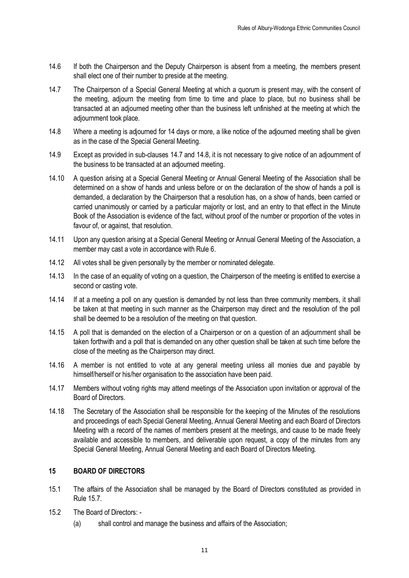- 14.6 If both the Chairperson and the Deputy Chairperson is absent from a meeting, the members present shall elect one of their number to preside at the meeting.
- 14.7 The Chairperson of a Special General Meeting at which a quorum is present may, with the consent of the meeting, adjourn the meeting from time to time and place to place, but no business shall be transacted at an adjourned meeting other than the business left unfinished at the meeting at which the adjournment took place.
- 14.8 Where a meeting is adjourned for 14 days or more, a like notice of the adjourned meeting shall be given as in the case of the Special General Meeting.
- 14.9 Except as provided in sub-clauses 14.7 and 14.8, it is not necessary to give notice of an adjournment of the business to be transacted at an adjourned meeting.
- 14.10 A question arising at a Special General Meeting or Annual General Meeting of the Association shall be determined on a show of hands and unless before or on the declaration of the show of hands a poll is demanded, a declaration by the Chairperson that a resolution has, on a show of hands, been carried or carried unanimously or carried by a particular majority or lost, and an entry to that effect in the Minute Book of the Association is evidence of the fact, without proof of the number or proportion of the votes in favour of, or against, that resolution.
- 14.11 Upon any question arising at a Special General Meeting or Annual General Meeting of the Association, a member may cast a vote in accordance with Rule 6.
- 14.12 All votes shall be given personally by the member or nominated delegate.
- 14.13 In the case of an equality of voting on a question, the Chairperson of the meeting is entitled to exercise a second or casting vote.
- 14.14 If at a meeting a poll on any question is demanded by not less than three community members, it shall be taken at that meeting in such manner as the Chairperson may direct and the resolution of the poll shall be deemed to be a resolution of the meeting on that question.
- 14.15 A poll that is demanded on the election of a Chairperson or on a question of an adjournment shall be taken forthwith and a poll that is demanded on any other question shall be taken at such time before the close of the meeting as the Chairperson may direct.
- 14.16 A member is not entitled to vote at any general meeting unless all monies due and payable by himself/herself or his/her organisation to the association have been paid.
- 14.17 Members without voting rights may attend meetings of the Association upon invitation or approval of the Board of Directors.
- 14.18 The Secretary of the Association shall be responsible for the keeping of the Minutes of the resolutions and proceedings of each Special General Meeting, Annual General Meeting and each Board of Directors Meeting with a record of the names of members present at the meetings, and cause to be made freely available and accessible to members, and deliverable upon request, a copy of the minutes from any Special General Meeting, Annual General Meeting and each Board of Directors Meeting.

#### **15 BOARD OF DIRECTORS**

- 15.1 The affairs of the Association shall be managed by the Board of Directors constituted as provided in Rule 15.7.
- 15.2 The Board of Directors:
	- (a) shall control and manage the business and affairs of the Association;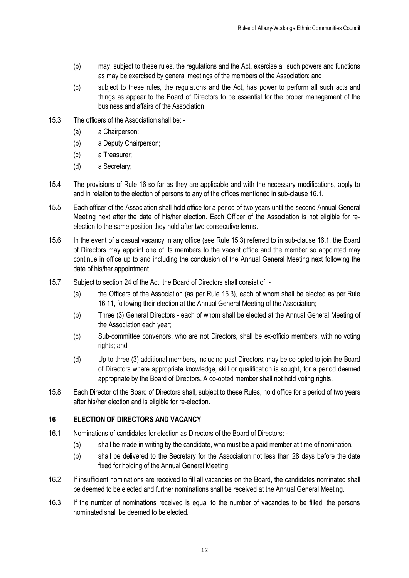- (b) may, subject to these rules, the regulations and the Act, exercise all such powers and functions as may be exercised by general meetings of the members of the Association; and
- (c) subject to these rules, the regulations and the Act, has power to perform all such acts and things as appear to the Board of Directors to be essential for the proper management of the business and affairs of the Association.
- 15.3 The officers of the Association shall be:
	- (a) a Chairperson;
	- (b) a Deputy Chairperson;
	- (c) a Treasurer;
	- (d) a Secretary;
- 15.4 The provisions of Rule 16 so far as they are applicable and with the necessary modifications, apply to and in relation to the election of persons to any of the offices mentioned in sub-clause 16.1.
- 15.5 Each officer of the Association shall hold office for a period of two years until the second Annual General Meeting next after the date of his/her election. Each Officer of the Association is not eligible for reelection to the same position they hold after two consecutive terms.
- 15.6 In the event of a casual vacancy in any office (see Rule 15.3) referred to in sub-clause 16.1, the Board of Directors may appoint one of its members to the vacant office and the member so appointed may continue in office up to and including the conclusion of the Annual General Meeting next following the date of his/her appointment.
- 15.7 Subject to section 24 of the Act, the Board of Directors shall consist of:
	- (a) the Officers of the Association (as per Rule 15.3), each of whom shall be elected as per Rule 16.11, following their election at the Annual General Meeting of the Association;
	- (b) Three (3) General Directors each of whom shall be elected at the Annual General Meeting of the Association each year;
	- (c) Sub-committee convenors, who are not Directors, shall be ex-officio members, with no voting rights; and
	- (d) Up to three (3) additional members, including past Directors, may be co-opted to join the Board of Directors where appropriate knowledge, skill or qualification is sought, for a period deemed appropriate by the Board of Directors. A co-opted member shall not hold voting rights.
- 15.8 Each Director of the Board of Directors shall, subject to these Rules, hold office for a period of two years after his/her election and is eligible for re-election.

#### **16 ELECTION OF DIRECTORS AND VACANCY**

- 16.1 Nominations of candidates for election as Directors of the Board of Directors:
	- (a) shall be made in writing by the candidate, who must be a paid member at time of nomination.
	- (b) shall be delivered to the Secretary for the Association not less than 28 days before the date fixed for holding of the Annual General Meeting.
- 16.2 If insufficient nominations are received to fill all vacancies on the Board, the candidates nominated shall be deemed to be elected and further nominations shall be received at the Annual General Meeting.
- 16.3 If the number of nominations received is equal to the number of vacancies to be filled, the persons nominated shall be deemed to be elected.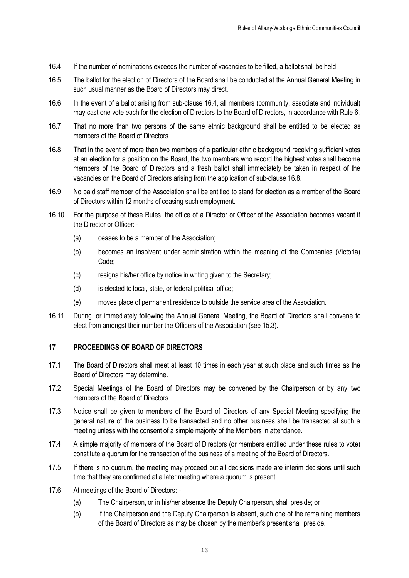- 16.4 If the number of nominations exceeds the number of vacancies to be filled, a ballot shall be held.
- 16.5 The ballot for the election of Directors of the Board shall be conducted at the Annual General Meeting in such usual manner as the Board of Directors may direct.
- 16.6 In the event of a ballot arising from sub-clause 16.4, all members (community, associate and individual) may cast one vote each for the election of Directors to the Board of Directors, in accordance with Rule 6.
- 16.7 That no more than two persons of the same ethnic background shall be entitled to be elected as members of the Board of Directors.
- 16.8 That in the event of more than two members of a particular ethnic background receiving sufficient votes at an election for a position on the Board, the two members who record the highest votes shall become members of the Board of Directors and a fresh ballot shall immediately be taken in respect of the vacancies on the Board of Directors arising from the application of sub-clause 16.8.
- 16.9 No paid staff member of the Association shall be entitled to stand for election as a member of the Board of Directors within 12 months of ceasing such employment.
- 16.10 For the purpose of these Rules, the office of a Director or Officer of the Association becomes vacant if the Director or Officer: -
	- (a) ceases to be a member of the Association;
	- (b) becomes an insolvent under administration within the meaning of the Companies (Victoria) Code;
	- (c) resigns his/her office by notice in writing given to the Secretary;
	- (d) is elected to local, state, or federal political office;
	- (e) moves place of permanent residence to outside the service area of the Association.
- 16.11 During, or immediately following the Annual General Meeting, the Board of Directors shall convene to elect from amongst their number the Officers of the Association (see 15.3).

#### **17 PROCEEDINGS OF BOARD OF DIRECTORS**

- 17.1 The Board of Directors shall meet at least 10 times in each year at such place and such times as the Board of Directors may determine.
- 17.2 Special Meetings of the Board of Directors may be convened by the Chairperson or by any two members of the Board of Directors.
- 17.3 Notice shall be given to members of the Board of Directors of any Special Meeting specifying the general nature of the business to be transacted and no other business shall be transacted at such a meeting unless with the consent of a simple majority of the Members in attendance.
- 17.4 A simple majority of members of the Board of Directors (or members entitled under these rules to vote) constitute a quorum for the transaction of the business of a meeting of the Board of Directors.
- 17.5 If there is no quorum, the meeting may proceed but all decisions made are interim decisions until such time that they are confirmed at a later meeting where a quorum is present.
- 17.6 At meetings of the Board of Directors:
	- (a) The Chairperson, or in his/her absence the Deputy Chairperson, shall preside; or
	- (b) If the Chairperson and the Deputy Chairperson is absent, such one of the remaining members of the Board of Directors as may be chosen by the member's present shall preside.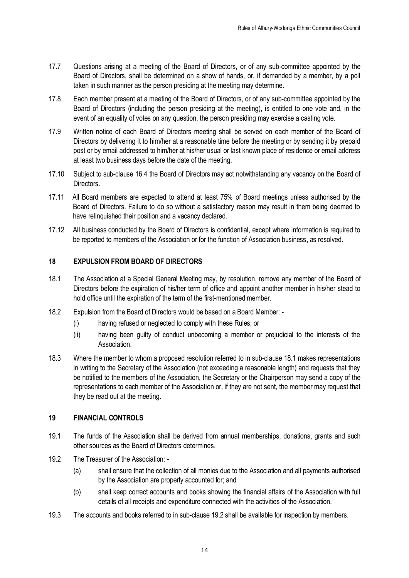- 17.7 Questions arising at a meeting of the Board of Directors, or of any sub-committee appointed by the Board of Directors, shall be determined on a show of hands, or, if demanded by a member, by a poll taken in such manner as the person presiding at the meeting may determine.
- 17.8 Each member present at a meeting of the Board of Directors, or of any sub-committee appointed by the Board of Directors (including the person presiding at the meeting), is entitled to one vote and, in the event of an equality of votes on any question, the person presiding may exercise a casting vote.
- 17.9 Written notice of each Board of Directors meeting shall be served on each member of the Board of Directors by delivering it to him/her at a reasonable time before the meeting or by sending it by prepaid post or by email addressed to him/her at his/her usual or last known place of residence or email address at least two business days before the date of the meeting.
- 17.10 Subject to sub-clause 16.4 the Board of Directors may act notwithstanding any vacancy on the Board of Directors.
- 17.11 All Board members are expected to attend at least 75% of Board meetings unless authorised by the Board of Directors. Failure to do so without a satisfactory reason may result in them being deemed to have relinquished their position and a vacancy declared.
- 17.12 All business conducted by the Board of Directors is confidential, except where information is required to be reported to members of the Association or for the function of Association business, as resolved.

#### **18 EXPULSION FROM BOARD OF DIRECTORS**

- 18.1 The Association at a Special General Meeting may, by resolution, remove any member of the Board of Directors before the expiration of his/her term of office and appoint another member in his/her stead to hold office until the expiration of the term of the first-mentioned member.
- 18.2 Expulsion from the Board of Directors would be based on a Board Member:
	- (i) having refused or neglected to comply with these Rules; or
	- (ii) having been guilty of conduct unbecoming a member or prejudicial to the interests of the Association.
- 18.3 Where the member to whom a proposed resolution referred to in sub-clause 18.1 makes representations in writing to the Secretary of the Association (not exceeding a reasonable length) and requests that they be notified to the members of the Association, the Secretary or the Chairperson may send a copy of the representations to each member of the Association or, if they are not sent, the member may request that they be read out at the meeting.

#### **19 FINANCIAL CONTROLS**

- 19.1 The funds of the Association shall be derived from annual memberships, donations, grants and such other sources as the Board of Directors determines.
- 19.2 The Treasurer of the Association: -
	- (a) shall ensure that the collection of all monies due to the Association and all payments authorised by the Association are properly accounted for; and
	- (b) shall keep correct accounts and books showing the financial affairs of the Association with full details of all receipts and expenditure connected with the activities of the Association.
- 19.3 The accounts and books referred to in sub-clause 19.2 shall be available for inspection by members.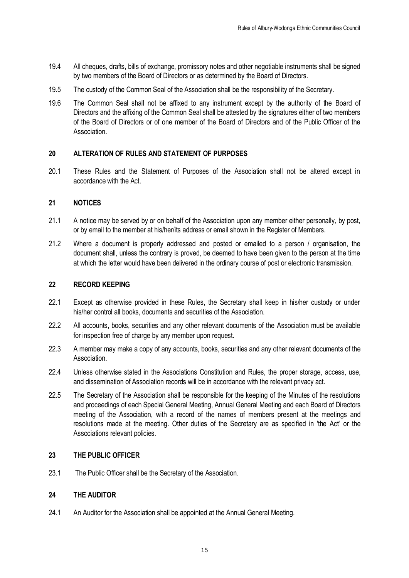- 19.4 All cheques, drafts, bills of exchange, promissory notes and other negotiable instruments shall be signed by two members of the Board of Directors or as determined by the Board of Directors.
- 19.5 The custody of the Common Seal of the Association shall be the responsibility of the Secretary.
- 19.6 The Common Seal shall not be affixed to any instrument except by the authority of the Board of Directors and the affixing of the Common Seal shall be attested by the signatures either of two members of the Board of Directors or of one member of the Board of Directors and of the Public Officer of the Association.

#### **20 ALTERATION OF RULES AND STATEMENT OF PURPOSES**

20.1 These Rules and the Statement of Purposes of the Association shall not be altered except in accordance with the Act.

#### **21 NOTICES**

- 21.1 A notice may be served by or on behalf of the Association upon any member either personally, by post, or by email to the member at his/her/its address or email shown in the Register of Members.
- 21.2 Where a document is properly addressed and posted or emailed to a person / organisation, the document shall, unless the contrary is proved, be deemed to have been given to the person at the time at which the letter would have been delivered in the ordinary course of post or electronic transmission.

#### **22 RECORD KEEPING**

- 22.1 Except as otherwise provided in these Rules, the Secretary shall keep in his/her custody or under his/her control all books, documents and securities of the Association.
- 22.2 All accounts, books, securities and any other relevant documents of the Association must be available for inspection free of charge by any member upon request.
- 22.3 A member may make a copy of any accounts, books, securities and any other relevant documents of the Association.
- 22.4 Unless otherwise stated in the Associations Constitution and Rules, the proper storage, access, use, and dissemination of Association records will be in accordance with the relevant privacy act.
- 22.5 The Secretary of the Association shall be responsible for the keeping of the Minutes of the resolutions and proceedings of each Special General Meeting, Annual General Meeting and each Board of Directors meeting of the Association, with a record of the names of members present at the meetings and resolutions made at the meeting. Other duties of the Secretary are as specified in 'the Act' or the Associations relevant policies.

#### **23 THE PUBLIC OFFICER**

23.1 The Public Officer shall be the Secretary of the Association.

#### **24 THE AUDITOR**

24.1 An Auditor for the Association shall be appointed at the Annual General Meeting.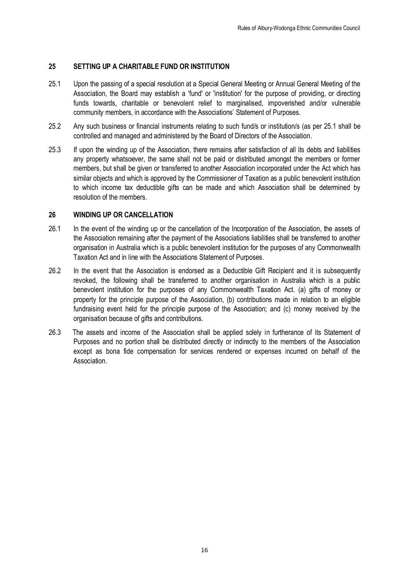#### **25 SETTING UP A CHARITABLE FUND OR INSTITUTION**

- 25.1 Upon the passing of a special resolution at a Special General Meeting or Annual General Meeting of the Association, the Board may establish a 'fund' or 'institution' for the purpose of providing, or directing funds towards, charitable or benevolent relief to marginalised, impoverished and/or vulnerable community members, in accordance with the Associations' Statement of Purposes.
- 25.2 Any such business or financial instruments relating to such fund/s or institution/s (as per 25.1 shall be controlled and managed and administered by the Board of Directors of the Association.
- 25.3 If upon the winding up of the Association, there remains after satisfaction of all its debts and liabilities any property whatsoever, the same shall not be paid or distributed amongst the members or former members, but shall be given or transferred to another Association incorporated under the Act which has similar objects and which is approved by the Commissioner of Taxation as a public benevolent institution to which income tax deductible gifts can be made and which Association shall be determined by resolution of the members.

#### **26 WINDING UP OR CANCELLATION**

- 26.1 In the event of the winding up or the cancellation of the Incorporation of the Association, the assets of the Association remaining after the payment of the Associations liabilities shall be transferred to another organisation in Australia which is a public benevolent institution for the purposes of any Commonwealth Taxation Act and in line with the Associations Statement of Purposes.
- 26.2 In the event that the Association is endorsed as a Deductible Gift Recipient and it is subsequently revoked, the following shall be transferred to another organisation in Australia which is a public benevolent institution for the purposes of any Commonwealth Taxation Act. (a) gifts of money or property for the principle purpose of the Association, (b) contributions made in relation to an eligible fundraising event held for the principle purpose of the Association; and (c) money received by the organisation because of gifts and contributions.
- 26.3 The assets and income of the Association shall be applied solely in furtherance of its Statement of Purposes and no portion shall be distributed directly or indirectly to the members of the Association except as bona fide compensation for services rendered or expenses incurred on behalf of the Association.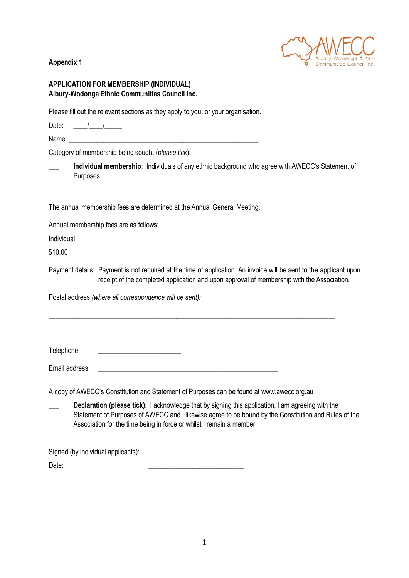

#### <span id="page-16-0"></span>**Appendix 1**

#### **APPLICATION FOR MEMBERSHIP (INDIVIDUAL) Albury-Wodonga Ethnic Communities Council Inc.**

Please fill out the relevant sections as they apply to you, or your organisation.

Date:  $\frac{1}{\sqrt{1-\frac{1}{2}}}$ 

Name: \_\_\_\_\_\_\_\_\_\_\_\_\_\_\_\_\_\_\_\_\_\_\_\_\_\_\_\_\_\_\_\_\_\_\_\_\_\_\_\_\_\_\_\_\_\_\_\_\_\_\_\_\_\_\_

Category of membership being sought (*please tick*):

\_\_\_ **Individual membership**: Individuals of any ethnic background who agree with AWECC's Statement of Purposes.

The annual membership fees are determined at the Annual General Meeting.

Annual membership fees are as follows:

Individual

\$10.00

Payment details: Payment is not required at the time of application. An invoice will be sent to the applicant upon receipt of the completed application and upon approval of membership with the Association.

\_\_\_\_\_\_\_\_\_\_\_\_\_\_\_\_\_\_\_\_\_\_\_\_\_\_\_\_\_\_\_\_\_\_\_\_\_\_\_\_\_\_\_\_\_\_\_\_\_\_\_\_\_\_\_\_\_\_\_\_\_\_\_\_\_\_\_\_\_\_\_\_\_\_\_\_\_\_\_\_\_\_\_

\_\_\_\_\_\_\_\_\_\_\_\_\_\_\_\_\_\_\_\_\_\_\_\_\_\_\_\_\_\_\_\_\_\_\_\_\_\_\_\_\_\_\_\_\_\_\_\_\_\_\_\_\_\_\_\_\_\_\_\_\_\_\_\_\_\_\_\_\_\_\_\_\_\_\_\_\_\_\_\_\_\_\_

Postal address *(where all correspondence will be sent):*

Telephone:

Email address:

A copy of AWECC's Constitution and Statement of Purposes can be found at www.awecc.org.au

Declaration (please tick): I acknowledge that by signing this application, I am agreeing with the Statement of Purposes of AWECC and I likewise agree to be bound by the Constitution and Rules of the Association for the time being in force or whilst I remain a member.

Signed (by individual applicants): Date: \_\_\_\_\_\_\_\_\_\_\_\_\_\_\_\_\_\_\_\_\_\_\_\_\_\_\_\_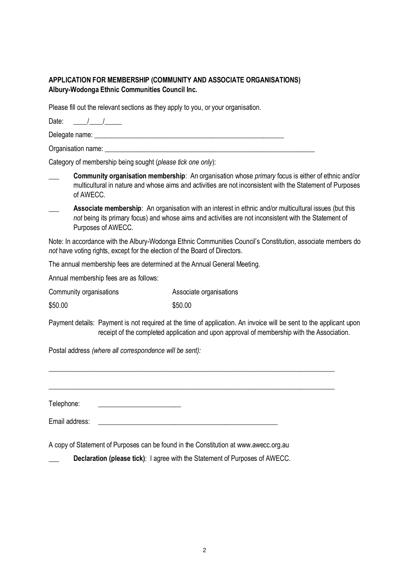#### **APPLICATION FOR MEMBERSHIP (COMMUNITY AND ASSOCIATE ORGANISATIONS) Albury-Wodonga Ethnic Communities Council Inc.**

Please fill out the relevant sections as they apply to you, or your organisation.

Date:  $\frac{1}{\sqrt{2\pi}}$ 

Delegate name: \_\_\_\_\_\_\_\_\_\_\_\_\_\_\_\_\_\_\_\_\_\_\_\_\_\_\_\_\_\_\_\_\_\_\_\_\_\_\_\_\_\_\_\_\_\_\_\_\_\_\_\_\_\_\_

Organisation name:

Category of membership being sought (*please tick one only*):

- \_\_\_ **Community organisation membership**: An organisation whose *primary* focus is either of ethnic and/or multicultural in nature and whose aims and activities are not inconsistent with the Statement of Purposes of AWECC.
- Associate membership: An organisation with an interest in ethnic and/or multicultural issues (but this *not* being its primary focus) and whose aims and activities are not inconsistent with the Statement of Purposes of AWECC.

Note: In accordance with the Albury-Wodonga Ethnic Communities Council's Constitution, associate members do *not* have voting rights, except for the election of the Board of Directors.

The annual membership fees are determined at the Annual General Meeting.

Annual membership fees are as follows:

| Community organisations | Associate organisations |
|-------------------------|-------------------------|
| \$50.00                 | \$50.00                 |

Payment details: Payment is not required at the time of application. An invoice will be sent to the applicant upon receipt of the completed application and upon approval of membership with the Association.

\_\_\_\_\_\_\_\_\_\_\_\_\_\_\_\_\_\_\_\_\_\_\_\_\_\_\_\_\_\_\_\_\_\_\_\_\_\_\_\_\_\_\_\_\_\_\_\_\_\_\_\_\_\_\_\_\_\_\_\_\_\_\_\_\_\_\_\_\_\_\_\_\_\_\_\_\_\_\_\_\_\_\_

\_\_\_\_\_\_\_\_\_\_\_\_\_\_\_\_\_\_\_\_\_\_\_\_\_\_\_\_\_\_\_\_\_\_\_\_\_\_\_\_\_\_\_\_\_\_\_\_\_\_\_\_\_\_\_\_\_\_\_\_\_\_\_\_\_\_\_\_\_\_\_\_\_\_\_\_\_\_\_\_\_\_\_

Postal address *(where all correspondence will be sent):*

Telephone: \_\_\_\_\_\_\_\_\_\_\_\_\_\_\_\_\_\_\_\_\_\_\_\_

Email address:

A copy of Statement of Purposes can be found in the Constitution at www.awecc.org.au

\_\_\_ **Declaration (please tick)**: I agree with the Statement of Purposes of AWECC.